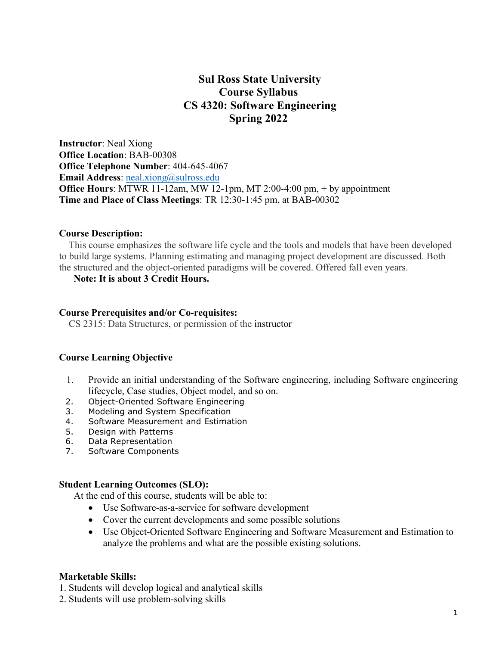# **Sul Ross State University Course Syllabus CS 4320: Software Engineering Spring 2022**

**Instructor**: Neal Xiong **Office Location**: BAB-00308 **Office Telephone Number**: 404-645-4067 **Email Address:** neal.xiong@sulross.edu **Office Hours**: MTWR 11-12am, MW 12-1pm, MT 2:00-4:00 pm, + by appointment **Time and Place of Class Meetings**: TR 12:30-1:45 pm, at BAB-00302

#### **Course Description:**

 This course emphasizes the software life cycle and the tools and models that have been developed to build large systems. Planning estimating and managing project development are discussed. Both the structured and the object-oriented paradigms will be covered. Offered fall even years.

#### **Note: It is about 3 Credit Hours.**

#### **Course Prerequisites and/or Co-requisites:**

CS 2315: Data Structures, or permission of the instructor

#### **Course Learning Objective**

- 1. Provide an initial understanding of the Software engineering, including Software engineering lifecycle, Case studies, Object model, and so on.
- 2. Object-Oriented Software Engineering
- 3. Modeling and System Specification
- 4. Software Measurement and Estimation
- 5. Design with Patterns
- 6. Data Representation
- 7. Software Components

#### **Student Learning Outcomes (SLO):**

At the end of this course, students will be able to:

- Use Software-as-a-service for software development
- Cover the current developments and some possible solutions
- Use Object-Oriented Software Engineering and Software Measurement and Estimation to analyze the problems and what are the possible existing solutions.

#### **Marketable Skills:**

- 1. Students will develop logical and analytical skills
- 2. Students will use problem-solving skills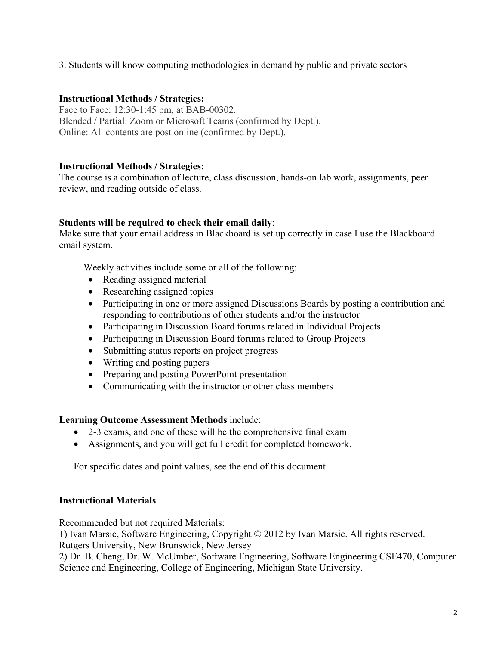3. Students will know computing methodologies in demand by public and private sectors

## **Instructional Methods / Strategies:**

Face to Face: 12:30-1:45 pm, at BAB-00302. Blended / Partial: Zoom or Microsoft Teams (confirmed by Dept.). Online: All contents are post online (confirmed by Dept.).

## **Instructional Methods / Strategies:**

The course is a combination of lecture, class discussion, hands-on lab work, assignments, peer review, and reading outside of class.

## **Students will be required to check their email daily**:

Make sure that your email address in Blackboard is set up correctly in case I use the Blackboard email system.

Weekly activities include some or all of the following:

- Reading assigned material
- Researching assigned topics
- Participating in one or more assigned Discussions Boards by posting a contribution and responding to contributions of other students and/or the instructor
- Participating in Discussion Board forums related in Individual Projects
- Participating in Discussion Board forums related to Group Projects
- Submitting status reports on project progress
- Writing and posting papers
- Preparing and posting PowerPoint presentation
- Communicating with the instructor or other class members

## **Learning Outcome Assessment Methods** include:

- 2-3 exams, and one of these will be the comprehensive final exam
- Assignments, and you will get full credit for completed homework.

For specific dates and point values, see the end of this document.

## **Instructional Materials**

Recommended but not required Materials:

1) Ivan Marsic, Software Engineering, Copyright © 2012 by Ivan Marsic. All rights reserved.

Rutgers University, New Brunswick, New Jersey

2) Dr. B. Cheng, Dr. W. McUmber, Software Engineering, Software Engineering CSE470, Computer Science and Engineering, College of Engineering, Michigan State University.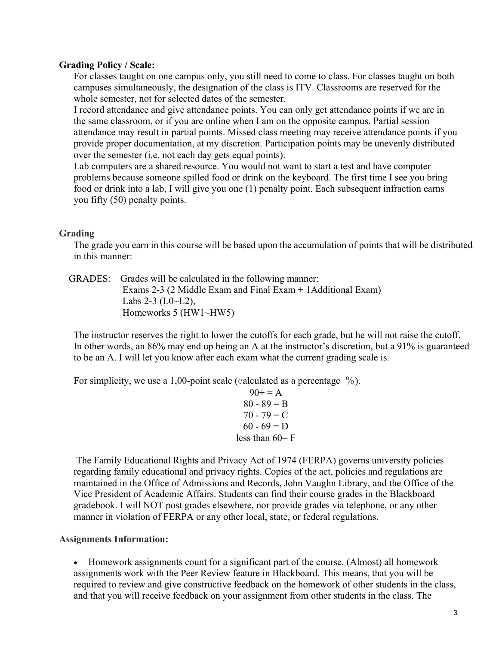### **Grading Policy / Scale:**

For classes taught on one campus only, you still need to come to class. For classes taught on both campuses simultaneously, the designation of the class is ITV. Classrooms are reserved for the whole semester, not for selected dates of the semester.

I record attendance and give attendance points. You can only get attendance points if we are in the same classroom, or if you are online when I am on the opposite campus. Partial session attendance may result in partial points. Missed class meeting may receive attendance points if you provide proper documentation, at my discretion. Participation points may be unevenly distributed over the semester (i.e. not each day gets equal points).

Lab computers are a shared resource. You would not want to start a test and have computer problems because someone spilled food or drink on the keyboard. The first time I see you bring food or drink into a lab, I will give you one (1) penalty point. Each subsequent infraction earns you fifty (50) penalty points.

## **Grading**

The grade you earn in this course will be based upon the accumulation of points that will be distributed in this manner:

 GRADES: Grades will be calculated in the following manner: Exams 2-3 (2 Middle Exam and Final Exam + 1Additional Exam) Labs  $2-3$  (L0 $\neg$ L2), Homeworks 5 (HW1~HW5)

The instructor reserves the right to lower the cutoffs for each grade, but he will not raise the cutoff. In other words, an 86% may end up being an A at the instructor's discretion, but a 91% is guaranteed to be an A. I will let you know after each exam what the current grading scale is.

For simplicity, we use a 1,00-point scale (calculated as a percentage  $\%$ ).

 $90+=A$  $80 - 89 = B$  $70 - 79 = C$  $60 - 69 = D$ less than  $60=$  F

The Family Educational Rights and Privacy Act of 1974 (FERPA) governs university policies regarding family educational and privacy rights. Copies of the act, policies and regulations are maintained in the Office of Admissions and Records, John Vaughn Library, and the Office of the Vice President of Academic Affairs. Students can find their course grades in the Blackboard gradebook. I will NOT post grades elsewhere, nor provide grades via telephone, or any other manner in violation of FERPA or any other local, state, or federal regulations.

### **Assignments Information:**

• Homework assignments count for a significant part of the course. (Almost) all homework assignments work with the Peer Review feature in Blackboard. This means, that you will be required to review and give constructive feedback on the homework of other students in the class, and that you will receive feedback on your assignment from other students in the class. The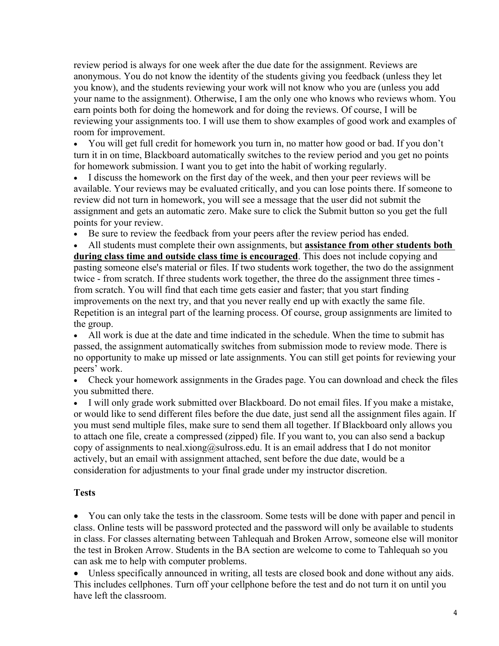review period is always for one week after the due date for the assignment. Reviews are anonymous. You do not know the identity of the students giving you feedback (unless they let you know), and the students reviewing your work will not know who you are (unless you add your name to the assignment). Otherwise, I am the only one who knows who reviews whom. You earn points both for doing the homework and for doing the reviews. Of course, I will be reviewing your assignments too. I will use them to show examples of good work and examples of room for improvement.

• You will get full credit for homework you turn in, no matter how good or bad. If you don't turn it in on time, Blackboard automatically switches to the review period and you get no points for homework submission. I want you to get into the habit of working regularly.

• I discuss the homework on the first day of the week, and then your peer reviews will be available. Your reviews may be evaluated critically, and you can lose points there. If someone to review did not turn in homework, you will see a message that the user did not submit the assignment and gets an automatic zero. Make sure to click the Submit button so you get the full points for your review.

Be sure to review the feedback from your peers after the review period has ended.

• All students must complete their own assignments, but **assistance from other students both during class time and outside class time is encouraged**. This does not include copying and pasting someone else's material or files. If two students work together, the two do the assignment twice - from scratch. If three students work together, the three do the assignment three times from scratch. You will find that each time gets easier and faster; that you start finding improvements on the next try, and that you never really end up with exactly the same file. Repetition is an integral part of the learning process. Of course, group assignments are limited to the group.

• All work is due at the date and time indicated in the schedule. When the time to submit has passed, the assignment automatically switches from submission mode to review mode. There is no opportunity to make up missed or late assignments. You can still get points for reviewing your peers' work.

• Check your homework assignments in the Grades page. You can download and check the files you submitted there.

• I will only grade work submitted over Blackboard. Do not email files. If you make a mistake, or would like to send different files before the due date, just send all the assignment files again. If you must send multiple files, make sure to send them all together. If Blackboard only allows you to attach one file, create a compressed (zipped) file. If you want to, you can also send a backup copy of assignments to neal.xiong@sulross.edu. It is an email address that I do not monitor actively, but an email with assignment attached, sent before the due date, would be a consideration for adjustments to your final grade under my instructor discretion.

## **Tests**

• You can only take the tests in the classroom. Some tests will be done with paper and pencil in class. Online tests will be password protected and the password will only be available to students in class. For classes alternating between Tahlequah and Broken Arrow, someone else will monitor the test in Broken Arrow. Students in the BA section are welcome to come to Tahlequah so you can ask me to help with computer problems.

• Unless specifically announced in writing, all tests are closed book and done without any aids. This includes cellphones. Turn off your cellphone before the test and do not turn it on until you have left the classroom.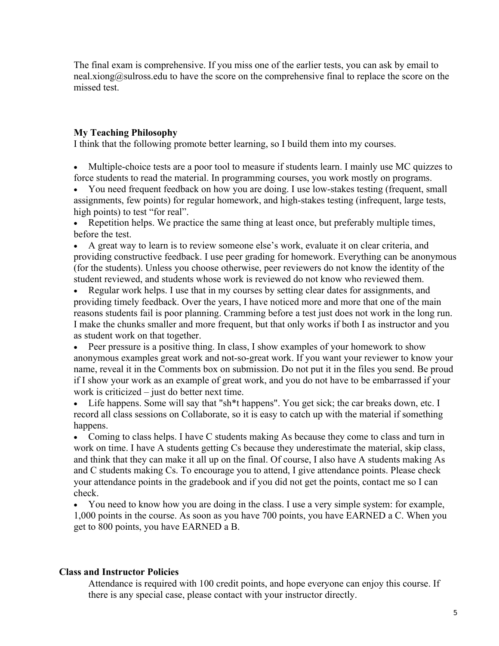The final exam is comprehensive. If you miss one of the earlier tests, you can ask by email to neal.xiong@sulross.edu to have the score on the comprehensive final to replace the score on the missed test.

## **My Teaching Philosophy**

I think that the following promote better learning, so I build them into my courses.

• Multiple-choice tests are a poor tool to measure if students learn. I mainly use MC quizzes to force students to read the material. In programming courses, you work mostly on programs.

• You need frequent feedback on how you are doing. I use low-stakes testing (frequent, small assignments, few points) for regular homework, and high-stakes testing (infrequent, large tests, high points) to test "for real".

• Repetition helps. We practice the same thing at least once, but preferably multiple times, before the test.

• A great way to learn is to review someone else's work, evaluate it on clear criteria, and providing constructive feedback. I use peer grading for homework. Everything can be anonymous (for the students). Unless you choose otherwise, peer reviewers do not know the identity of the student reviewed, and students whose work is reviewed do not know who reviewed them.

• Regular work helps. I use that in my courses by setting clear dates for assignments, and providing timely feedback. Over the years, I have noticed more and more that one of the main reasons students fail is poor planning. Cramming before a test just does not work in the long run. I make the chunks smaller and more frequent, but that only works if both I as instructor and you as student work on that together.

• Peer pressure is a positive thing. In class, I show examples of your homework to show anonymous examples great work and not-so-great work. If you want your reviewer to know your name, reveal it in the Comments box on submission. Do not put it in the files you send. Be proud if I show your work as an example of great work, and you do not have to be embarrassed if your work is criticized – just do better next time.

• Life happens. Some will say that "sh\*t happens". You get sick; the car breaks down, etc. I record all class sessions on Collaborate, so it is easy to catch up with the material if something happens.

• Coming to class helps. I have C students making As because they come to class and turn in work on time. I have A students getting Cs because they underestimate the material, skip class, and think that they can make it all up on the final. Of course, I also have A students making As and C students making Cs. To encourage you to attend, I give attendance points. Please check your attendance points in the gradebook and if you did not get the points, contact me so I can check.

• You need to know how you are doing in the class. I use a very simple system: for example, 1,000 points in the course. As soon as you have 700 points, you have EARNED a C. When you get to 800 points, you have EARNED a B.

### **Class and Instructor Policies**

Attendance is required with 100 credit points, and hope everyone can enjoy this course. If there is any special case, please contact with your instructor directly.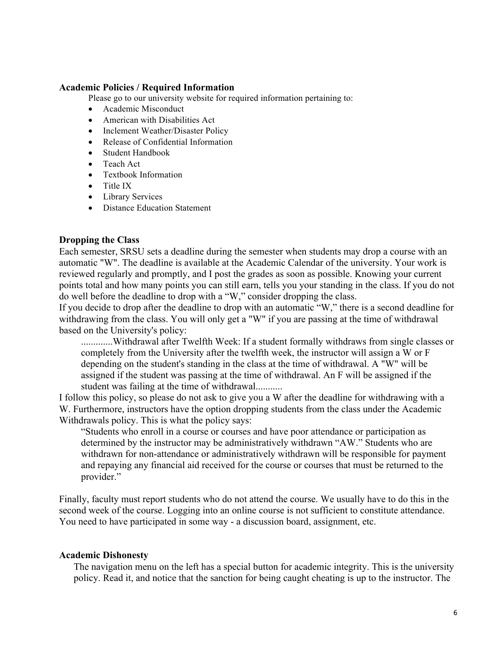#### **Academic Policies / Required Information**

Please go to our university website for required information pertaining to:

- Academic Misconduct
- American with Disabilities Act
- Inclement Weather/Disaster Policy
- Release of Confidential Information
- Student Handbook
- Teach Act
- Textbook Information
- Title IX
- Library Services
- Distance Education Statement

#### **Dropping the Class**

Each semester, SRSU sets a deadline during the semester when students may drop a course with an automatic "W". The deadline is available at the Academic Calendar of the university. Your work is reviewed regularly and promptly, and I post the grades as soon as possible. Knowing your current points total and how many points you can still earn, tells you your standing in the class. If you do not do well before the deadline to drop with a "W," consider dropping the class.

If you decide to drop after the deadline to drop with an automatic "W," there is a second deadline for withdrawing from the class. You will only get a "W" if you are passing at the time of withdrawal based on the University's policy:

.............Withdrawal after Twelfth Week: If a student formally withdraws from single classes or completely from the University after the twelfth week, the instructor will assign a W or F depending on the student's standing in the class at the time of withdrawal. A "W" will be assigned if the student was passing at the time of withdrawal. An F will be assigned if the student was failing at the time of withdrawal...........

I follow this policy, so please do not ask to give you a W after the deadline for withdrawing with a W. Furthermore, instructors have the option dropping students from the class under the Academic Withdrawals policy. This is what the policy says:

"Students who enroll in a course or courses and have poor attendance or participation as determined by the instructor may be administratively withdrawn "AW." Students who are withdrawn for non-attendance or administratively withdrawn will be responsible for payment and repaying any financial aid received for the course or courses that must be returned to the provider."

Finally, faculty must report students who do not attend the course. We usually have to do this in the second week of the course. Logging into an online course is not sufficient to constitute attendance. You need to have participated in some way - a discussion board, assignment, etc.

#### **Academic Dishonesty**

The navigation menu on the left has a special button for academic integrity. This is the university policy. Read it, and notice that the sanction for being caught cheating is up to the instructor. The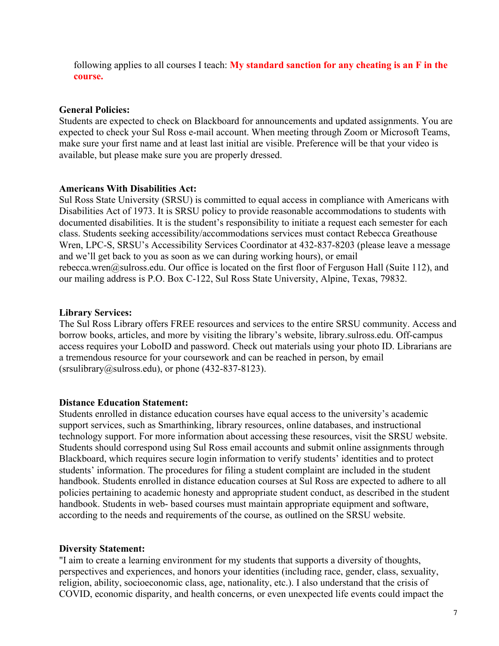following applies to all courses I teach: **My standard sanction for any cheating is an F in the course.**

### **General Policies:**

Students are expected to check on Blackboard for announcements and updated assignments. You are expected to check your Sul Ross e-mail account. When meeting through Zoom or Microsoft Teams, make sure your first name and at least last initial are visible. Preference will be that your video is available, but please make sure you are properly dressed.

### **Americans With Disabilities Act:**

Sul Ross State University (SRSU) is committed to equal access in compliance with Americans with Disabilities Act of 1973. It is SRSU policy to provide reasonable accommodations to students with documented disabilities. It is the student's responsibility to initiate a request each semester for each class. Students seeking accessibility/accommodations services must contact Rebecca Greathouse Wren, LPC-S, SRSU's Accessibility Services Coordinator at 432-837-8203 (please leave a message and we'll get back to you as soon as we can during working hours), or email rebecca.wren@sulross.edu. Our office is located on the first floor of Ferguson Hall (Suite 112), and our mailing address is P.O. Box C-122, Sul Ross State University, Alpine, Texas, 79832.

## **Library Services:**

The Sul Ross Library offers FREE resources and services to the entire SRSU community. Access and borrow books, articles, and more by visiting the library's website, library.sulross.edu. Off-campus access requires your LoboID and password. Check out materials using your photo ID. Librarians are a tremendous resource for your coursework and can be reached in person, by email  $(srsulibrary@sulross.edu)$ , or phone  $(432-837-8123)$ .

## **Distance Education Statement:**

Students enrolled in distance education courses have equal access to the university's academic support services, such as Smarthinking, library resources, online databases, and instructional technology support. For more information about accessing these resources, visit the SRSU website. Students should correspond using Sul Ross email accounts and submit online assignments through Blackboard, which requires secure login information to verify students' identities and to protect students' information. The procedures for filing a student complaint are included in the student handbook. Students enrolled in distance education courses at Sul Ross are expected to adhere to all policies pertaining to academic honesty and appropriate student conduct, as described in the student handbook. Students in web- based courses must maintain appropriate equipment and software, according to the needs and requirements of the course, as outlined on the SRSU website.

### **Diversity Statement:**

"I aim to create a learning environment for my students that supports a diversity of thoughts, perspectives and experiences, and honors your identities (including race, gender, class, sexuality, religion, ability, socioeconomic class, age, nationality, etc.). I also understand that the crisis of COVID, economic disparity, and health concerns, or even unexpected life events could impact the